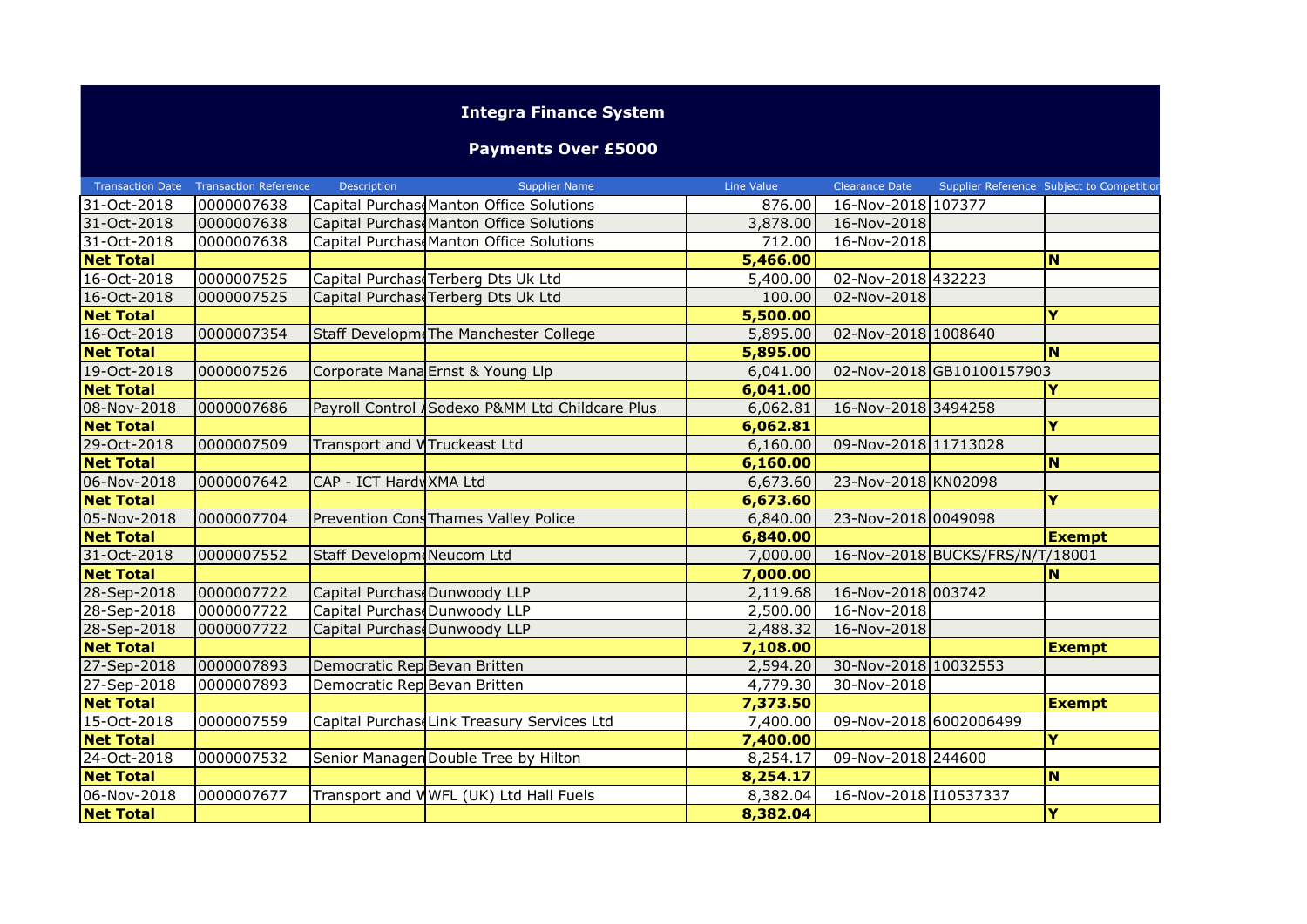## **Integra Finance System**

## **Payments Over £5000**

|                  | Transaction Date Transaction Reference | Description                  | <b>Supplier Name</b>                           | Line Value | Clearance Date         |                                 | Supplier Reference Subject to Competition |
|------------------|----------------------------------------|------------------------------|------------------------------------------------|------------|------------------------|---------------------------------|-------------------------------------------|
| 31-Oct-2018      | 0000007638                             |                              | Capital Purchase Manton Office Solutions       | 876.00     | 16-Nov-2018 107377     |                                 |                                           |
| 31-Oct-2018      | 0000007638                             |                              | Capital PurchaseManton Office Solutions        | 3,878.00   | 16-Nov-2018            |                                 |                                           |
| 31-Oct-2018      | 0000007638                             |                              | Capital Purchas Manton Office Solutions        | 712.00     | 16-Nov-2018            |                                 |                                           |
| <b>Net Total</b> |                                        |                              |                                                | 5,466.00   |                        |                                 | <b>N</b>                                  |
| 16-Oct-2018      | 0000007525                             |                              | Capital Purchas Terberg Dts Uk Ltd             | 5,400.00   | 02-Nov-2018 432223     |                                 |                                           |
| 16-Oct-2018      | 0000007525                             |                              | Capital Purchase Terberg Dts Uk Ltd            | 100.00     | 02-Nov-2018            |                                 |                                           |
| <b>Net Total</b> |                                        |                              |                                                | 5,500.00   |                        |                                 | Y                                         |
| 16-Oct-2018      | 0000007354                             |                              | Staff Developme The Manchester College         | 5,895.00   | 02-Nov-2018 1008640    |                                 |                                           |
| <b>Net Total</b> |                                        |                              |                                                | 5,895.00   |                        |                                 | N                                         |
| 19-Oct-2018      | 0000007526                             |                              | Corporate Mana Ernst & Young Llp               | 6,041.00   |                        | 02-Nov-2018GB10100157903        |                                           |
| <b>Net Total</b> |                                        |                              |                                                | 6,041.00   |                        |                                 | Y                                         |
| 08-Nov-2018      | 0000007686                             |                              | Payroll Control Sodexo P&MM Ltd Childcare Plus | 6,062.81   | 16-Nov-2018 3494258    |                                 |                                           |
| <b>Net Total</b> |                                        |                              |                                                | 6,062.81   |                        |                                 | Y                                         |
| 29-Oct-2018      | 0000007509                             | Transport and WTruckeast Ltd |                                                | 6,160.00   | 09-Nov-2018 11713028   |                                 |                                           |
| <b>Net Total</b> |                                        |                              |                                                | 6,160.00   |                        |                                 | <b>N</b>                                  |
| 06-Nov-2018      | 0000007642                             | CAP - ICT Hardy XMA Ltd      |                                                | 6,673.60   | 23-Nov-2018 KN02098    |                                 |                                           |
| <b>Net Total</b> |                                        |                              |                                                | 6,673.60   |                        |                                 | Ÿ                                         |
| 05-Nov-2018      | 0000007704                             |                              | Prevention Cons Thames Valley Police           | 6,840.00   | 23-Nov-2018 0049098    |                                 |                                           |
| <b>Net Total</b> |                                        |                              |                                                | 6,840.00   |                        |                                 | <b>Exempt</b>                             |
| 31-Oct-2018      | 0000007552                             | Staff Developm Neucom Ltd    |                                                | 7,000.00   |                        | 16-Nov-2018 BUCKS/FRS/N/T/18001 |                                           |
| <b>Net Total</b> |                                        |                              |                                                | 7,000.00   |                        |                                 | <b>N</b>                                  |
| 28-Sep-2018      | 0000007722                             | Capital Purchas Dunwoody LLP |                                                | 2,119.68   | 16-Nov-2018 003742     |                                 |                                           |
| 28-Sep-2018      | 0000007722                             | Capital PurchaseDunwoody LLP |                                                | 2,500.00   | 16-Nov-2018            |                                 |                                           |
| 28-Sep-2018      | 0000007722                             | Capital PurchaseDunwoody LLP |                                                | 2,488.32   | 16-Nov-2018            |                                 |                                           |
| <b>Net Total</b> |                                        |                              |                                                | 7,108.00   |                        |                                 | <b>Exempt</b>                             |
| 27-Sep-2018      | 0000007893                             | Democratic Rep Bevan Britten |                                                | 2,594.20   | 30-Nov-2018 10032553   |                                 |                                           |
| 27-Sep-2018      | 0000007893                             | Democratic Rep Bevan Britten |                                                | 4,779.30   | 30-Nov-2018            |                                 |                                           |
| <b>Net Total</b> |                                        |                              |                                                | 7,373.50   |                        |                                 | <b>Exempt</b>                             |
| 15-Oct-2018      | 0000007559                             |                              | Capital PurchaseLink Treasury Services Ltd     | 7,400.00   | 09-Nov-2018 6002006499 |                                 |                                           |
| <b>Net Total</b> |                                        |                              |                                                | 7,400.00   |                        |                                 | Y                                         |
| 24-Oct-2018      | 0000007532                             |                              | Senior Managen Double Tree by Hilton           | 8,254.17   | 09-Nov-2018 244600     |                                 |                                           |
| <b>Net Total</b> |                                        |                              |                                                | 8,254.17   |                        |                                 | <b>N</b>                                  |
| 06-Nov-2018      | 0000007677                             |                              | Transport and WWFL (UK) Ltd Hall Fuels         | 8,382.04   | 16-Nov-2018 10537337   |                                 |                                           |
| <b>Net Total</b> |                                        |                              |                                                | 8,382.04   |                        |                                 | Y                                         |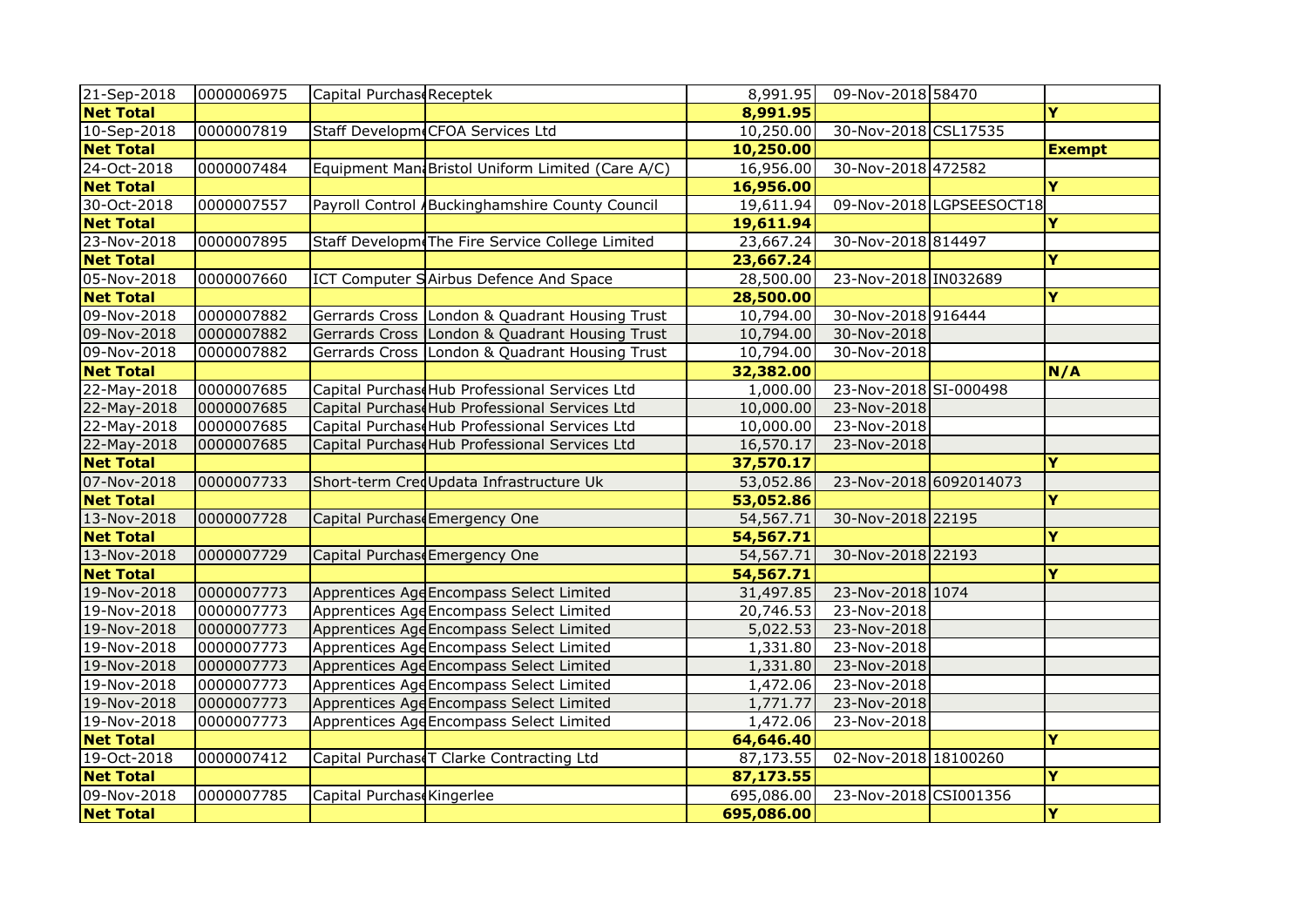| 21-Sep-2018      | 0000006975 | Capital Purchase Receptek |                                                  | 8,991.95   | 09-Nov-2018 58470      |                          |                         |
|------------------|------------|---------------------------|--------------------------------------------------|------------|------------------------|--------------------------|-------------------------|
| <b>Net Total</b> |            |                           |                                                  | 8,991.95   |                        |                          | Y                       |
| $10 - Sep-2018$  | 0000007819 |                           | Staff Developm CFOA Services Ltd                 | 10,250.00  | 30-Nov-2018 CSL17535   |                          |                         |
| <b>Net Total</b> |            |                           |                                                  | 10,250.00  |                        |                          | <b>Exempt</b>           |
| 24-Oct-2018      | 0000007484 |                           | Equipment Man Bristol Uniform Limited (Care A/C) | 16,956.00  | 30-Nov-2018 472582     |                          |                         |
| <b>Net Total</b> |            |                           |                                                  | 16,956.00  |                        |                          | Y                       |
| 30-Oct-2018      | 0000007557 |                           | Payroll Control / Buckinghamshire County Council | 19,611.94  |                        | 09-Nov-2018 LGPSEESOCT18 |                         |
| <b>Net Total</b> |            |                           |                                                  | 19,611.94  |                        |                          | Y                       |
| 23-Nov-2018      | 0000007895 |                           | Staff Developm The Fire Service College Limited  | 23,667.24  | 30-Nov-2018 814497     |                          |                         |
| <b>Net Total</b> |            |                           |                                                  | 23,667.24  |                        |                          | Y                       |
| 05-Nov-2018      | 0000007660 |                           | ICT Computer SAirbus Defence And Space           | 28,500.00  | 23-Nov-2018 IN032689   |                          |                         |
| <b>Net Total</b> |            |                           |                                                  | 28,500.00  |                        |                          | Y                       |
| 09-Nov-2018      | 0000007882 |                           | Gerrards Cross London & Quadrant Housing Trust   | 10,794.00  | 30-Nov-2018 916444     |                          |                         |
| 09-Nov-2018      | 0000007882 |                           | Gerrards Cross London & Quadrant Housing Trust   | 10,794.00  | 30-Nov-2018            |                          |                         |
| 09-Nov-2018      | 0000007882 |                           | Gerrards Cross London & Quadrant Housing Trust   | 10,794.00  | 30-Nov-2018            |                          |                         |
| <b>Net Total</b> |            |                           |                                                  | 32,382.00  |                        |                          | N/A                     |
| 22-May-2018      | 0000007685 |                           | Capital Purchase Hub Professional Services Ltd   | 1,000.00   | 23-Nov-2018 SI-000498  |                          |                         |
| 22-May-2018      | 0000007685 |                           | Capital Purchase Hub Professional Services Ltd   | 10,000.00  | 23-Nov-2018            |                          |                         |
| 22-May-2018      | 0000007685 |                           | Capital Purchase Hub Professional Services Ltd   | 10,000.00  | 23-Nov-2018            |                          |                         |
| 22-May-2018      | 0000007685 |                           | Capital Purchase Hub Professional Services Ltd   | 16,570.17  | 23-Nov-2018            |                          |                         |
| <b>Net Total</b> |            |                           |                                                  | 37,570.17  |                        |                          | Y                       |
| 07-Nov-2018      | 0000007733 |                           | Short-term CredUpdata Infrastructure Uk          | 53,052.86  | 23-Nov-2018 6092014073 |                          |                         |
| <b>Net Total</b> |            |                           |                                                  | 53,052.86  |                        |                          | $\overline{\mathbf{Y}}$ |
| 13-Nov-2018      | 0000007728 |                           | Capital Purchase Emergency One                   | 54,567.71  | 30-Nov-2018 22195      |                          |                         |
| <b>Net Total</b> |            |                           |                                                  | 54,567.71  |                        |                          | Y                       |
| 13-Nov-2018      | 0000007729 |                           | Capital Purchase Emergency One                   | 54,567.71  | 30-Nov-2018 22193      |                          |                         |
| <b>Net Total</b> |            |                           |                                                  | 54,567.71  |                        |                          | Y                       |
| 19-Nov-2018      | 0000007773 |                           | Apprentices AgeEncompass Select Limited          | 31,497.85  | 23-Nov-2018 1074       |                          |                         |
| 19-Nov-2018      | 0000007773 |                           | Apprentices AgeEncompass Select Limited          | 20,746.53  | 23-Nov-2018            |                          |                         |
| 19-Nov-2018      | 0000007773 |                           | Apprentices AgeEncompass Select Limited          | 5,022.53   | 23-Nov-2018            |                          |                         |
| 19-Nov-2018      | 0000007773 |                           | Apprentices AgeEncompass Select Limited          | 1,331.80   | 23-Nov-2018            |                          |                         |
| 19-Nov-2018      | 0000007773 |                           | Apprentices AgeEncompass Select Limited          | 1,331.80   | 23-Nov-2018            |                          |                         |
| $19 - Nov-2018$  | 0000007773 |                           | Apprentices AgeEncompass Select Limited          | 1,472.06   | 23-Nov-2018            |                          |                         |
| 19-Nov-2018      | 0000007773 |                           | Apprentices AgeEncompass Select Limited          | 1,771.77   | 23-Nov-2018            |                          |                         |
| 19-Nov-2018      | 0000007773 |                           | Apprentices AgeEncompass Select Limited          | 1,472.06   | 23-Nov-2018            |                          |                         |
| <b>Net Total</b> |            |                           |                                                  | 64,646.40  |                        |                          | Y                       |
| 19-Oct-2018      | 0000007412 |                           | Capital Purchase T Clarke Contracting Ltd        | 87,173.55  | 02-Nov-2018 18100260   |                          |                         |
| <b>Net Total</b> |            |                           |                                                  | 87,173.55  |                        |                          | Y                       |
| 09-Nov-2018      | 0000007785 | Capital Purchas Kingerlee |                                                  | 695,086.00 | 23-Nov-2018 CSI001356  |                          |                         |
| <b>Net Total</b> |            |                           |                                                  | 695,086.00 |                        |                          | Y                       |